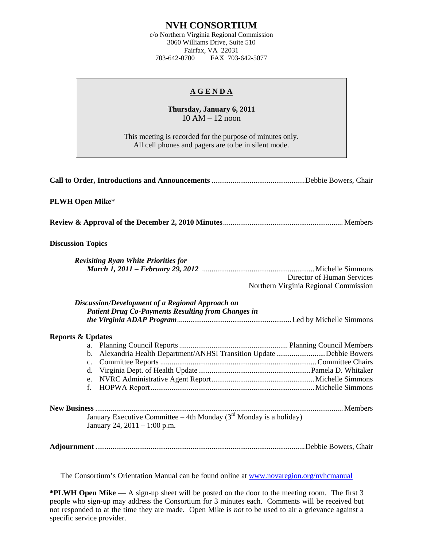## **NVH CONSORTIUM**

c/o Northern Virginia Regional Commission 3060 Williams Drive, Suite 510 Fairfax, VA 22031 703-642-0700 FAX 703-642-5077

## **A G E N D A**

**Thursday, January 6, 2011**  10 AM – 12 noon

This meeting is recorded for the purpose of minutes only. All cell phones and pagers are to be in silent mode.

| <b>PLWH Open Mike*</b>                                                                                                     |                                                                     |
|----------------------------------------------------------------------------------------------------------------------------|---------------------------------------------------------------------|
|                                                                                                                            |                                                                     |
| <b>Discussion Topics</b>                                                                                                   |                                                                     |
| <b>Revisiting Ryan White Priorities for</b>                                                                                | Director of Human Services<br>Northern Virginia Regional Commission |
| Discussion/Development of a Regional Approach on<br><b>Patient Drug Co-Payments Resulting from Changes in</b>              |                                                                     |
| <b>Reports &amp; Updates</b><br>b. Alexandria Health Department/ANHSI Transition Update Debbie Bowers<br>$c_{\cdot}$<br>f. |                                                                     |
| January Executive Committee – 4th Monday $(3rd$ Monday is a holiday)<br>January 24, 2011 – 1:00 p.m.                       |                                                                     |
|                                                                                                                            |                                                                     |

The Consortium's Orientation Manual can be found online at [www.novaregion.org/nvhcmanual](http://www.novaregion.org/nvhcmanual)

**\*PLWH Open Mike** — A sign-up sheet will be posted on the door to the meeting room. The first 3 people who sign-up may address the Consortium for 3 minutes each. Comments will be received but not responded to at the time they are made. Open Mike is *not* to be used to air a grievance against a specific service provider.